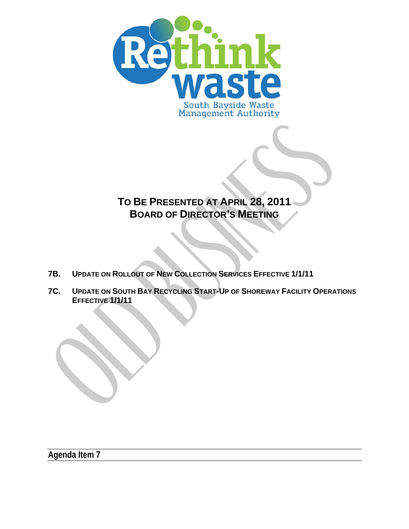

# **TO BE PRESENTED AT APRIL 28, 2011 BOARD OF DIRECTOR'S MEETING**

- **7B. UPDATE ON ROLLOUT OF NEW COLLECTION SERVICES EFFECTIVE 1/1/11**
- **7C. UPDATE ON SOUTH BAY RECYCLING START-UP OF SHOREWAY FACILITY OPERATIONS EFFECTIVE 1/1/11**

**Agenda Item 7**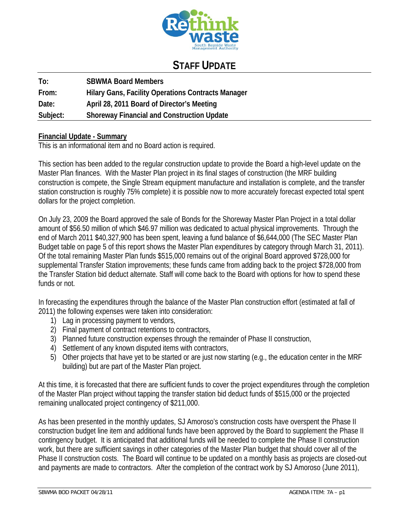

## **STAFF UPDATE**

| To:      | <b>SBWMA Board Members</b>                                |
|----------|-----------------------------------------------------------|
| From:    | <b>Hilary Gans, Facility Operations Contracts Manager</b> |
| Date:    | April 28, 2011 Board of Director's Meeting                |
| Subject: | <b>Shoreway Financial and Construction Update</b>         |

#### **Financial Update - Summary**

This is an informational item and no Board action is required.

This section has been added to the regular construction update to provide the Board a high-level update on the Master Plan finances. With the Master Plan project in its final stages of construction (the MRF building construction is compete, the Single Stream equipment manufacture and installation is complete, and the transfer station construction is roughly 75% complete) it is possible now to more accurately forecast expected total spent dollars for the project completion.

On July 23, 2009 the Board approved the sale of Bonds for the Shoreway Master Plan Project in a total dollar amount of \$56.50 million of which \$46.97 million was dedicated to actual physical improvements. Through the end of March 2011 \$40,327,900 has been spent, leaving a fund balance of \$6,644,000 (The SEC Master Plan Budget table on page 5 of this report shows the Master Plan expenditures by category through March 31, 2011). Of the total remaining Master Plan funds \$515,000 remains out of the original Board approved \$728,000 for supplemental Transfer Station improvements; these funds came from adding back to the project \$728,000 from the Transfer Station bid deduct alternate. Staff will come back to the Board with options for how to spend these funds or not.

In forecasting the expenditures through the balance of the Master Plan construction effort (estimated at fall of 2011) the following expenses were taken into consideration:

- 1) Lag in processing payment to vendors,
- 2) Final payment of contract retentions to contractors,
- 3) Planned future construction expenses through the remainder of Phase II construction,
- 4) Settlement of any known disputed items with contractors,
- 5) Other projects that have yet to be started or are just now starting (e.g., the education center in the MRF building) but are part of the Master Plan project.

At this time, it is forecasted that there are sufficient funds to cover the project expenditures through the completion of the Master Plan project without tapping the transfer station bid deduct funds of \$515,000 or the projected remaining unallocated project contingency of \$211,000.

As has been presented in the monthly updates, SJ Amoroso's construction costs have overspent the Phase II construction budget line item and additional funds have been approved by the Board to supplement the Phase II contingency budget. It is anticipated that additional funds will be needed to complete the Phase II construction work, but there are sufficient savings in other categories of the Master Plan budget that should cover all of the Phase II construction costs. The Board will continue to be updated on a monthly basis as projects are closed-out and payments are made to contractors. After the completion of the contract work by SJ Amoroso (June 2011),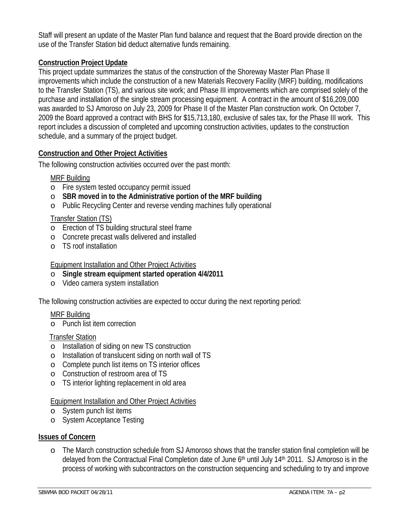Staff will present an update of the Master Plan fund balance and request that the Board provide direction on the use of the Transfer Station bid deduct alternative funds remaining.

### **Construction Project Update**

This project update summarizes the status of the construction of the Shoreway Master Plan Phase II improvements which include the construction of a new Materials Recovery Facility (MRF) building, modifications to the Transfer Station (TS), and various site work; and Phase III improvements which are comprised solely of the purchase and installation of the single stream processing equipment. A contract in the amount of \$16,209,000 was awarded to SJ Amoroso on July 23, 2009 for Phase II of the Master Plan construction work. On October 7, 2009 the Board approved a contract with BHS for \$15,713,180, exclusive of sales tax, for the Phase III work. This report includes a discussion of completed and upcoming construction activities, updates to the construction schedule, and a summary of the project budget.

#### **Construction and Other Project Activities**

The following construction activities occurred over the past month:

#### MRF Building

- o Fire system tested occupancy permit issued
- o **SBR moved in to the Administrative portion of the MRF building**
- o Public Recycling Center and reverse vending machines fully operational

#### Transfer Station (TS)

- o Erection of TS building structural steel frame
- o Concrete precast walls delivered and installed
- o TS roof installation

#### Equipment Installation and Other Project Activities

- o **Single stream equipment started operation 4/4/2011**
- o Video camera system installation

The following construction activities are expected to occur during the next reporting period:

#### MRF Building

o Punch list item correction

#### Transfer Station

- o Installation of siding on new TS construction
- o Installation of translucent siding on north wall of TS
- o Complete punch list items on TS interior offices
- o Construction of restroom area of TS
- o TS interior lighting replacement in old area

#### Equipment Installation and Other Project Activities

- o System punch list items
- o System Acceptance Testing

#### **Issues of Concern**

o The March construction schedule from SJ Amoroso shows that the transfer station final completion will be delayed from the Contractual Final Completion date of June  $6<sup>th</sup>$  until July 14<sup>th</sup> 2011. SJ Amoroso is in the process of working with subcontractors on the construction sequencing and scheduling to try and improve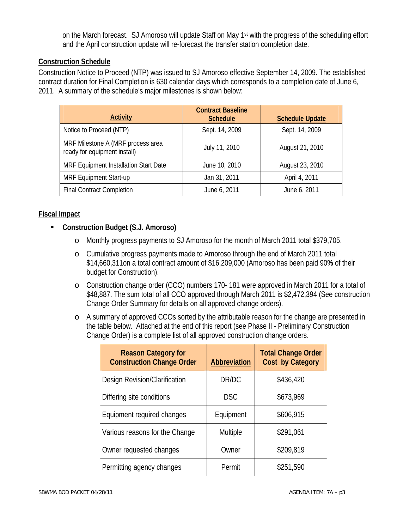on the March forecast. SJ Amoroso will update Staff on May 1st with the progress of the scheduling effort and the April construction update will re-forecast the transfer station completion date.

#### **Construction Schedule**

Construction Notice to Proceed (NTP) was issued to SJ Amoroso effective September 14, 2009. The established contract duration for Final Completion is 630 calendar days which corresponds to a completion date of June 6, 2011. A summary of the schedule's major milestones is shown below:

| <b>Activity</b>                                                   | <b>Contract Baseline</b><br><b>Schedule</b> | <b>Schedule Update</b> |
|-------------------------------------------------------------------|---------------------------------------------|------------------------|
| Notice to Proceed (NTP)                                           | Sept. 14, 2009                              | Sept. 14, 2009         |
| MRF Milestone A (MRF process area<br>ready for equipment install) | July 11, 2010                               | August 21, 2010        |
| MRF Equipment Installation Start Date                             | June 10, 2010                               | August 23, 2010        |
| <b>MRF Equipment Start-up</b>                                     | Jan 31, 2011                                | April 4, 2011          |
| <b>Final Contract Completion</b>                                  | June 6, 2011                                | June 6, 2011           |

#### **Fiscal Impact**

#### **Construction Budget (S.J. Amoroso)**

- o Monthly progress payments to SJ Amoroso for the month of March 2011 total \$379,705.
- o Cumulative progress payments made to Amoroso through the end of March 2011 total \$14,660,311on a total contract amount of \$16,209,000 (Amoroso has been paid 90**%** of their budget for Construction).
- o Construction change order (CCO) numbers 170- 181 were approved in March 2011 for a total of \$48,887. The sum total of all CCO approved through March 2011 is \$2,472,394 (See construction Change Order Summary for details on all approved change orders).
- o A summary of approved CCOs sorted by the attributable reason for the change are presented in the table below. Attached at the end of this report (see Phase II - Preliminary Construction Change Order) is a complete list of all approved construction change orders.

| <b>Reason Category for</b><br><b>Construction Change Order</b> | <b>Abbreviation</b> | <b>Total Change Order</b><br><b>Cost by Category</b> |
|----------------------------------------------------------------|---------------------|------------------------------------------------------|
| Design Revision/Clarification                                  | DR/DC               | \$436,420                                            |
| Differing site conditions                                      | <b>DSC</b>          | \$673,969                                            |
| Equipment required changes                                     | Equipment           | \$606,915                                            |
| Various reasons for the Change                                 | Multiple            | \$291,061                                            |
| Owner requested changes                                        | Owner               | \$209,819                                            |
| Permitting agency changes                                      | Permit              | \$251,590                                            |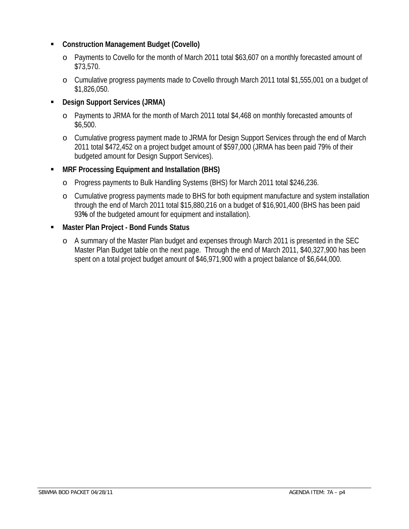#### **Construction Management Budget (Covello)**

- o Payments to Covello for the month of March 2011 total \$63,607 on a monthly forecasted amount of \$73,570.
- o Cumulative progress payments made to Covello through March 2011 total \$1,555,001 on a budget of \$1,826,050.

#### **Design Support Services (JRMA)**

- o Payments to JRMA for the month of March 2011 total \$4,468 on monthly forecasted amounts of \$6,500.
- o Cumulative progress payment made to JRMA for Design Support Services through the end of March 2011 total \$472,452 on a project budget amount of \$597,000 (JRMA has been paid 79% of their budgeted amount for Design Support Services).

#### **MRF Processing Equipment and Installation (BHS)**

- o Progress payments to Bulk Handling Systems (BHS) for March 2011 total \$246,236.
- o Cumulative progress payments made to BHS for both equipment manufacture and system installation through the end of March 2011 total \$15,880,216 on a budget of \$16,901,400 (BHS has been paid 93**%** of the budgeted amount for equipment and installation).

#### **Master Plan Project - Bond Funds Status**

o A summary of the Master Plan budget and expenses through March 2011 is presented in the SEC Master Plan Budget table on the next page. Through the end of March 2011, \$40,327,900 has been spent on a total project budget amount of \$46,971,900 with a project balance of \$6,644,000.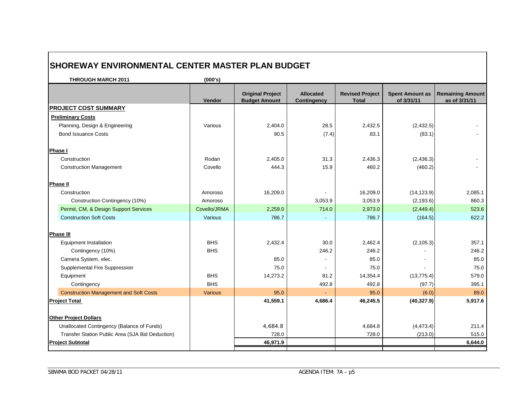| <b>THROUGH MARCH 2011</b>                        | (000's)      |                                                 |                                        |                                        |                                      |                                          |
|--------------------------------------------------|--------------|-------------------------------------------------|----------------------------------------|----------------------------------------|--------------------------------------|------------------------------------------|
|                                                  | Vendor       | <b>Original Project</b><br><b>Budget Amount</b> | <b>Allocated</b><br><b>Contingency</b> | <b>Revised Project</b><br><b>Total</b> | <b>Spent Amount as</b><br>of 3/31/11 | <b>Remaining Amount</b><br>as of 3/31/11 |
| <b>PROJECT COST SUMMARY</b>                      |              |                                                 |                                        |                                        |                                      |                                          |
| <b>Preliminary Costs</b>                         |              |                                                 |                                        |                                        |                                      |                                          |
| Planning, Design & Engineering                   | Various      | 2,404.0                                         | 28.5                                   | 2,432.5                                | (2,432.5)                            |                                          |
| <b>Bond Issuance Costs</b>                       |              | 90.5                                            | (7.4)                                  | 83.1                                   | (83.1)                               |                                          |
| <b>Phase I</b>                                   |              |                                                 |                                        |                                        |                                      |                                          |
| Construction                                     | Rodan        | 2,405.0                                         | 31.3                                   | 2,436.3                                | (2, 436.3)                           |                                          |
| <b>Construction Management</b>                   | Covello      | 444.3                                           | 15.9                                   | 460.2                                  | (460.2)                              |                                          |
| <b>Phase II</b>                                  |              |                                                 |                                        |                                        |                                      |                                          |
| Construction                                     | Amoroso      | 16,209.0                                        |                                        | 16,209.0                               | (14, 123.9)                          | 2,085.1                                  |
| Construction Contingency (10%)                   | Amoroso      |                                                 | 3,053.9                                | 3,053.9                                | (2, 193.6)                           | 860.3                                    |
| Permit, CM, & Design Support Services            | Covello/JRMA | 2,259.0                                         | 714.0                                  | 2,973.0                                | (2,449.4)                            | 523.6                                    |
| <b>Construction Soft Costs</b>                   | Various      | 786.7                                           |                                        | 786.7                                  | (164.5)                              | 622.2                                    |
| <b>Phase III</b>                                 |              |                                                 |                                        |                                        |                                      |                                          |
| <b>Equipment Installation</b>                    | <b>BHS</b>   | 2,432.4                                         | 30.0                                   | 2,462.4                                | (2, 105.3)                           | 357.1                                    |
| Contingency (10%)                                | <b>BHS</b>   |                                                 | 246.2                                  | 246.2                                  |                                      | 246.2                                    |
| Camera System, elec.                             |              | 85.0                                            |                                        | 85.0                                   |                                      | 85.0                                     |
| Supplemental Fire Suppression                    |              | 75.0                                            |                                        | 75.0                                   |                                      | 75.0                                     |
| Equipment                                        | <b>BHS</b>   | 14,273.2                                        | 81.2                                   | 14,354.4                               | (13, 775.4)                          | 579.0                                    |
| Contingency                                      | <b>BHS</b>   |                                                 | 492.8                                  | 492.8                                  | (97.7)                               | 395.1                                    |
| <b>Construction Management and Soft Costs</b>    | Various      | 95.0                                            |                                        | 95.0                                   | (6.0)                                | 89.0                                     |
| <b>Project Total</b>                             |              | 41,559.1                                        | 4,686.4                                | 46,245.5                               | (40, 327.9)                          | 5,917.6                                  |
| <b>Other Project Dollars</b>                     |              |                                                 |                                        |                                        |                                      |                                          |
| Unallocated Contingency (Balance of Funds)       |              | 4,684.8                                         |                                        | 4,684.8                                | (4, 473.4)                           | 211.4                                    |
| Transfer Station Public Area (SJA Bid Deduction) |              | 728.0                                           |                                        | 728.0                                  | (213.0)                              | 515.0                                    |
| <b>Project Subtotal</b>                          |              | 46,971.9                                        |                                        |                                        |                                      | 6,644.0                                  |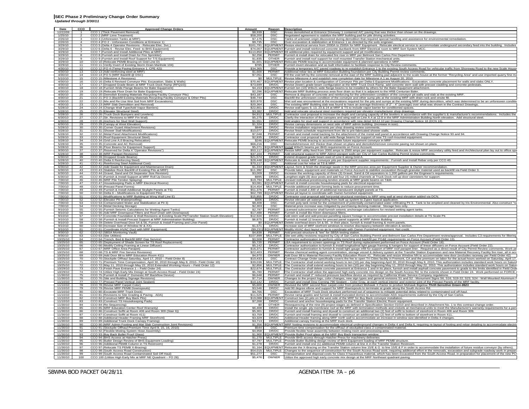| Date<br>$\frac{12}{22/09}$ | cco                | <b>Approved Change Orders</b>                                                                                                                                         | Amount               | Reason                    | <b>Description</b>                                                                                                                                                                                                                                                                                                                  |
|----------------------------|--------------------|-----------------------------------------------------------------------------------------------------------------------------------------------------------------------|----------------------|---------------------------|-------------------------------------------------------------------------------------------------------------------------------------------------------------------------------------------------------------------------------------------------------------------------------------------------------------------------------------|
|                            |                    | CCO 1 (Thick Pavement Removal)                                                                                                                                        | \$8,939              | <b>DSC</b>                | Areas demolished at Entrance Driveway 1 contained A/C paving that was thicker than shown on the drawings.                                                                                                                                                                                                                           |
| 1/25/10                    |                    | CCO 2 (MRF Lime Treatment)                                                                                                                                            | \$58,200<br>\$7,175  | <b>DSC</b>                | Negotiated agreement to stabilize the MRF building pad for pile driving activities.                                                                                                                                                                                                                                                 |
| 2/26/10<br>2/26/10         |                    | CCO 3 (Unforeseen Tanks at MRF)<br>CCO 4 (FO 2 - Unforeseen Conditions at Entrance 1)                                                                                 | \$9,735              | <b>DSC</b><br><b>DSC</b>  | Tanks of unknown origin discovered during demolition that required special handling and assistance for environmental remediation.<br>Over-excavation & stabilization at Entrance 1 as directed by the soils engineer.                                                                                                               |
| 3/29/10                    |                    | CCO 5 (Delta 4 Operator Revisions - Relocate Elec. Svc.)                                                                                                              | \$161,791            | <b>EQUIPMENT</b>          | Resize electrical service from 2000A to 2500A for MRF Equipment. Relocate electical service to accommodate undergound secondary feed into the building. Includes                                                                                                                                                                    |
| 3/29/10                    | 6                  | CCO 6 (Delta 6 - Revise Elec. Feed to BHS Equipment)                                                                                                                  | \$74,007             | <b>EQUIPMENT</b>          | Furnish and install reinforced concrete ductbank from MRF Electrical room to MRF Sort System MCC                                                                                                                                                                                                                                    |
| 3/29/10                    |                    | CCO 7 (Furnish and Install Additional Piles at MRF)                                                                                                                   | \$113,850            | <b>EQUIPMENT</b>          | 69 additional piles required by equipment support and pit modifications.                                                                                                                                                                                                                                                            |
| 3/29/10                    | $\mathbf{R}$       | CCO 8 (Furnish and Install Drain for Fire Sprinkler)                                                                                                                  | \$2,256              | PFRMIT                    | Furnish & install drain for relocated fire riser in MRF per Belmont San Carlos Fire Department.                                                                                                                                                                                                                                     |
| 3/29/10<br>3/29/10         | $\alpha$<br>10     | CCO 9 (Furnish and Install Roof Support for T/S Equipment)<br>CCO 10 (Relocate PEMB Bracing on Grid Line D)                                                           | \$1.835<br>\$1.601   | OTHER<br><b>FOUIPMENT</b> | Furnish and install roof support for roof-mounted Transfer Station mechanical units.                                                                                                                                                                                                                                                |
| 3/29/10                    | 11                 | CCO 11 (Verify Invert of Existing Storm Drain Manhole 104)                                                                                                            | \$785                | <b>OTHER</b>              | Relocate PEMB bracing to accommodate equipment & planned operations in MRF.<br>Furnish invert elevation and as built information to facilitate response to City Review comments.                                                                                                                                                    |
| 4/30/10                    | 12                 | CCO 12 (FO 4 (Temp Paving Entrance 1, CPE 42))                                                                                                                        | \$34,365             | <b>DSC</b>                | Provide a temporary A/C paved roadway to re-establish Entrance 1 to the existing South Access Road for vehicular traffic from Shoreway Road to the new Scale House                                                                                                                                                                  |
| 4/30/10                    | 13                 | CCO 13 (Add reinforcing steel at MRF)                                                                                                                                 | \$1,600              | PERMIT                    | Additional rebar ties at MRF Education Building foundation per City Building Permit review comments                                                                                                                                                                                                                                 |
| 4/30/10                    | 14                 | CCO 14 (FO 5 (MRF Backfill @ DSC)                                                                                                                                     | \$7,051              | <b>DSC</b>                | Fill the void left by the concrete removal at the east of the MRF building pad adjacent to the scale house at the former "Recycling Area" and use imported quarry fine m                                                                                                                                                            |
| 5/10/10                    | 15                 | CCO 15 (Milestone A Revisions)                                                                                                                                        | so I                 | MUI TIPI F                | Revise Milestone A and establish new completion date for Milestone A.1 as August 20, 2010.                                                                                                                                                                                                                                          |
| 4/30/10                    | 16<br>17           | CCO 16 (Delta 6 Revised Conveyor Pits: Excavation, Slabs & Walls)<br>CCO 17 (Dropped Grade Beam at MRF Truck Dock Ramp (RFQ10))                                       |                      |                           | \$70,467 EQUIPMENT Revise plan location & configuration of Conveyor Pits per Delta 6 Equipment Modifications - Excavation, concrete placement for walls and slabs ONLY<br>Revise (lower) grade beam configuration at the MRF Truck Dock Ramp, add concrete stem wall with precast cladding and concrete pedestals                   |
| 4/30/10<br>4/30/10         | 18                 | CCO 18 (Furnish Wide Flange Beams for Baler Equipment)                                                                                                                | \$73,699<br>\$4,153  | DR/DC<br>:QUIPMEN         | Furnish ten (10) W8x21 wide flange beams to be installed by others for the Baler Equipment attachment.                                                                                                                                                                                                                              |
| 4/30/10                    | 19                 | CCO 19 (Relocate Floor Drain for Baler Equipment)                                                                                                                     | \$2,296              | <b>QUIPMEN</b>            | Relocate MRF Building process area floor drain so that it is adjacent to the HRB Centurian Baler.                                                                                                                                                                                                                                   |
| 4/30/10                    | 20                 | CCO 20 (Demolish Existing Materials Recycling Facility Conveyor Pits)                                                                                                 | \$43,187             | <b>DSC</b>                | Remove & dispose of concrete and reinforcing for the unforeseen condition of the conveyor pit walls and slab at the existing MRF                                                                                                                                                                                                    |
| 4/30/10                    | 21                 | CCO 21 (FO 3 (Backfill Existing Materials Recycling Facility Conveyor & Other Pits)                                                                                   | \$48,744             | <b>DSC</b>                | lackfill the unforeseen condition of the conveyor and other sump pits at the existing MRF with drain rock and onsite fill.                                                                                                                                                                                                          |
| 4/30/10                    | 22                 | CCO 22 (Mix and Re-Use Wet Soil from MRF Excavations)                                                                                                                 | \$20,970             | <b>DSC</b>                | Wet soil was encountered at the excavations required for the pits and sumps at the existing MRF during demolition, which was determined to be an unfo                                                                                                                                                                               |
| 4/30/10                    | 23                 | CCO 23 (MRF Slab Demolition and Removal)                                                                                                                              | \$20,364             | <b>DSC</b>                | The existing MRF Building slab was found to have an average thickness of 2" - 4" (average) over what was shown in the Contract Drawings                                                                                                                                                                                             |
| 5/28/10<br>5/28/10         | 24<br>25           | CCO 24 (Change Wall Type/Add Vapor Barriers)<br>CCO 25 (Elevator Structural Steel)                                                                                    | \$22,801<br>\$3,382  | DR/DC<br>DR/DC            | Revise wall types 9, 13, 23 & 24 at MRF & TS to include vapor barrier for conditioned spaces.<br>Add and relocate structural steel members required per elevator manufacturer shop drawings.                                                                                                                                        |
| 5/28/10                    | 26                 | CCO 26 (Truck Dock Bumpers and Levelers)                                                                                                                              | \$4,912              | <b>MULTIPL</b>            | Contractor cost proposal to increase the depth and carrying capacity of the levelers in accordance with the supplier's & manufacturer's recommendations. Includes the                                                                                                                                                               |
| 6/30/10                    | 27                 | CCO 27 (Str. Revisions to MRF Fin Wall)                                                                                                                               | \$5,275              | DR/DC                     | larify the interaction of the canopies and wing wall on Line A.4 at 12.8 in the MRF Administration Building North elevation. Add structural steel.                                                                                                                                                                                  |
| 6/30/10                    | 28                 | CCO 28 (Anchors for Stud Wall Support)                                                                                                                                | \$1,551              | DR/DC                     | Add angles for stud wall support in accordance with new detail 3/A12.10 per Drawing Change Notice 18 (DCN 18).                                                                                                                                                                                                                      |
| 6/30/10                    | 29<br>$30^{\circ}$ | CCO 29 (Canopy at West Elevation)                                                                                                                                     | \$1,324<br>SBAR      | DR/DC<br>DR/DC            | Revise canopy dimensions on west side of MRF admin building (increase in size).                                                                                                                                                                                                                                                     |
| 5/28/10<br>5/28/10         | 31                 | CCO 30 (Corner Guard Attachment Revisions)<br>CCO 31 (Shower Stall Modifications)                                                                                     | \$10.077             | DR/DC                     | Revise installation requirements per shop drawing review comments.<br>Revise finish schedule requirement from tile to pre-fabricated shower stalls.                                                                                                                                                                                 |
| 5/28/10                    | 32                 | CCO 32 (Metal Panel Attachment Modifications)                                                                                                                         | \$7,048              | PERMIT                    | urnish and install metal backing for the attachment of the metal wall panel in accordance with Drawing Change Notice 93 and 94                                                                                                                                                                                                      |
| 5/28/10                    | 33                 | CCO 33 (Roof Equipment Structural Steel)                                                                                                                              | \$2.835              | DR/DC                     | Contractor cost proposal to add wide flange beams for support of new TS roof-mounted equipment.                                                                                                                                                                                                                                     |
| 5/28/10                    | 34                 | CCO 34 (Grid Line A.0 Bracing Relocation)                                                                                                                             | \$246                | <b>EQUIPMENT</b>          | Relocate PEMB bracing to accommodate future equipment conveyor in MRF.                                                                                                                                                                                                                                                              |
| 5/28/10                    | 35                 | CCO 35 (Concrete and AC Removal)                                                                                                                                      | \$66,216             | <b>DSC</b>                | Demolish/remove A/C thicker than shown on plans and demolish/remove concrete paving not shown on plans.                                                                                                                                                                                                                             |
| 5/28/10                    | 36                 | CCO 36 (Floor Beams for Equipment Support)                                                                                                                            | \$5,271              | QUIPMEN                   | Install W8x21 beams per BHS requirements on Force Account.                                                                                                                                                                                                                                                                          |
| 9/30/10<br>5/28/10         | 37<br>38           | CCO 37 (Reserved for Delta 4 "Operator Revisions")<br>CCO 38 (MRF Parapet Revisions)                                                                                  |                      | \$37,104 PERMIT           | \$53,117 EQUIPMENT Resize MRF utility feed from 2000 amps to 2500 amps per equipment supplier. Relocate & resize MRF secondary utility feed and Architectural plan lay out to office sp.                                                                                                                                            |
| 6/30/10                    | 39                 | CCO 39 (Dropped Grade Beams)                                                                                                                                          | \$21,574             | DR/DC                     | Add structural support to MRF Admin parapet walls per City of San Carlos Building Permit review comments.                                                                                                                                                                                                                           |
| 5/28/10                    | 40                 | CCO 40 (Delta 6 Reinforcing Steel)                                                                                                                                    | \$28,448             | <b>EQUIPMEN</b>           | Extend dropped grade beam east of Line 6 along Grid A.<br>Relocate & resize MRF conveyor pits per Equipment supplier requirements - Furnish and Install Rebar only per CCO 40.                                                                                                                                                      |
| 5/28/10                    | 41                 | CCO 41 (Reinforcing Steel Additional Cost)                                                                                                                            | \$70.117             | <b>DSC</b>                | Addional cost for rebar at TS & MRF.                                                                                                                                                                                                                                                                                                |
| 6/30/10                    | 42                 | CCO 42 (Add Swale for Equipment and Maintenance Drain                                                                                                                 |                      | \$1,334 EQUIPMENT         | Layout, form & finish the drainage swale in the MRF process area per Equipment Supplier & Owner recommendation                                                                                                                                                                                                                      |
| 6/30/10                    | 43<br>44           | CCO 43 (Stabilize Rock Backfill of Existing Pits at MRF)                                                                                                              | \$11,392<br>\$3,009  | <b>DSC</b>                | Provide labor, equipment and materials on Force Account to stabilize excavation through granular material used as backfill via Field Order 3                                                                                                                                                                                        |
| 6/30/10<br>6/30/10         | 45                 | CCO 44 (Gravel, Sand and Oil Separator Size Revision)<br>CCO 45 (Furnish & Install Support at MRF Roll Up Doors)                                                      | \$895                | DR/DC<br>DR/DC            | Increase the working capacity of three (3) Gravel, Sand & Oil separators to 1,200 gallons per the Engineer's requireme<br>Lengthen eight (8) door posts and add four (4) milled channels at Truck Dock roll up door cannisters for support.                                                                                         |
| 7/30/10                    | 46                 | CCO 46 (MRF Pile Tendon Splaying)                                                                                                                                     | \$19,794             | MULTIPLE                  | Jnravel individual prestressing tendon strands at MRF grade beams on T&M.                                                                                                                                                                                                                                                           |
| 7/30/10                    | 47                 | CCO 47 (Housekeeping Pads in MRF Electrical Rooms)                                                                                                                    | \$3,081              | <b>EQUIPMENT</b>          | Furnish & install concrete housekeeping pads for electrical equipment.                                                                                                                                                                                                                                                              |
| 7/30/10                    | 48                 | CCO 48 (Precast Panel Forms)                                                                                                                                          | \$14,454             | <b>MULTIPLE</b>           | rovide additional precast forming beds to reduce procurement time.                                                                                                                                                                                                                                                                  |
| 7/30/10                    | 49                 | CCO 49 (Furnish & Install Additional Skylight Panels at TS)                                                                                                           | \$51,376             | PERMIT                    | urnish & install 2,400 sf of additional translucent skylight panels at TS.                                                                                                                                                                                                                                                          |
| 7/30/10                    | 50                 | CCO 50 (Delta 6 - Modifications to Equipment Pits)                                                                                                                    | \$62,799             | <b>EQUIPMENT</b>          | Revise pit layout to coordinate with Owner-furnished equipment.                                                                                                                                                                                                                                                                     |
| 7/30/10<br>7/30/10         | 51<br>52           | CCO 51 (Modifications to MRF Building at Wing Wall Line E)<br>CCO 52 (Elevator Pit Waterproofing)                                                                     | \$15,855<br>\$306    | DR/DC<br>DR/DC            | Contractor cost proposal add horizontal structural members to MRF wing wall at west elevation added via DCN.<br>Revise elevator pit waterproofing from built up system to Zypex topical application.                                                                                                                                |
| 7/30/10                    | 53                 | CCO 53 (Contaminated Water and Stabilization at Pit 3)                                                                                                                | \$8,408              | <b>DSC</b>                | Furnish poly tank rental for the containment of potentially contaminated water infiltrating Pit 3. Tank to be emptied and cleaned by Iris Environmental. Also construct "r                                                                                                                                                          |
| 7/30/10                    | 54                 | CCO 54 (Metal Decking Storage)                                                                                                                                        | \$2,303              | <b>DSC</b>                | Material price increase was mitigated by purchasing decking material. Storage fees only                                                                                                                                                                                                                                             |
| 9/10/10                    | 55                 | CCO 55 (Furnish Seismic Calculations for Wetting Agent Tanks)                                                                                                         | \$2.797              | PFRMIT                    | Licensed subcontractor shall furnish seismic anchorage calculations for revised wetting agent tanks                                                                                                                                                                                                                                 |
| 9/10/10<br>9/10/10         | 56<br>57           | CCO 56 (Add MRF Downspout Filters and Roof Drain with Downspo<br>CCO 57 (Concrete Foundation & Wall Revisions at Existing Scale Pit/Transfer Station South Elevation) | \$17,488<br>\$12.924 | PFRMIT<br>DR/DC           | Furnish & install Bio Kleen downspout filters.                                                                                                                                                                                                                                                                                      |
| 9/10/10                    | 58                 | CCO 58 (Furnish & Install Precast Support at MRF Administration Building)                                                                                             | \$8.875              | <b>DR/DC</b>              | Add stem wall and add precast panelling square footage to accommodate precast installation details at TS Scale Pit.<br>Furnish & Install 12 braces for precast panel supports at MRF Admin Building                                                                                                                                 |
| 9/10/10                    | 59                 | CCO 59 (Delete Overhead Door 54 & 56, Furnish & Install Framing and Liner Panel)                                                                                      | SΟ                   | <b>QUIPMEN</b>            | <u>Delete overhead doors 54 &amp; 56. In their place, furnish &amp; install framing &amp; morin panels</u>                                                                                                                                                                                                                          |
| 9/10/10                    | 60                 | CCO 60 (Increase Size of Window W & XX)                                                                                                                               | \$1.571              | DR/DC                     | Increase size of MRF storfront windows to resolve discrepancy between elevation & section.                                                                                                                                                                                                                                          |
| 9/10/10                    | 61                 | CCO 61 (Coordinate HVAC Duct with MRF Equipment)                                                                                                                      |                      | (\$9.231) EQUIPMENT       | Modify HVAC duct layout so as to coordinate with Owner-Furnished equipment. Net credit.                                                                                                                                                                                                                                             |
| 9/30/10                    | 62                 | CCO 62 (SBSA Monitoring Vault)                                                                                                                                        |                      |                           | \$4,838 PERMIT Add precast structure & "tee" for SBSA testing station.                                                                                                                                                                                                                                                              |
| 9/30/10<br>10/25/10        | 63<br>64           | CCO 63 (Site Utilities)<br>CCO 64 (Trench, Bed & Backfill MRF Gas Service)                                                                                            | \$3,508              | PERMIT                    | \$107,899 MULTIPLE Site wet utility revisions required by City of San Carlos Building Permit and Belmont San Carlos Fire Department review/approval. Includes C3 requirements for filtering<br>Contractor authorization to perform utility trenching and backfill per PG&E requirements on Force Account (Field Order 13).          |
| 10/25/10                   | 65                 | CCO 65 (Deployment of Shade Screen for TS Roof Replacement)                                                                                                           | \$5,720              | PERMIT                    | EA requirement to screen opeinings in TS Roof during replacement performed on Force Account (Field Order 18).                                                                                                                                                                                                                       |
| 10/25/10                   | 66                 | CCO 66 (Modify Ceiling Framing at Linear Diffuser)                                                                                                                    | \$5.142              | DR/DC                     | Contractor authorization to furnish & install longitudinal light gauge framing & hangers for support of linear diffusers on Force Account (Field Order 22).                                                                                                                                                                         |
| 10/25/10                   | 67                 | CCO 67 (MRF Office Area Parapet)                                                                                                                                      | \$16,371             | PFRMIT                    | Contractor authorization to furnish & install light gauge infill for support of MRF roof parapet liner. Required as a direct result of City Permit Review comments. Work pe                                                                                                                                                         |
| 10/25/10                   | 68                 | CCO 68 (TS & MRF Fire Service Revisions)                                                                                                                              | \$22,403             | PERMIT                    | Nevise chemical wetting agent concentration, storage vessel & delivery system at the Transfer Station Expansion and new Material Recovery Facility fire riser, all in ac                                                                                                                                                            |
| 10/25/10<br>10/25/10       | 69<br>70           | CCO 69 (Add Door 88 to MRF Education Room 411)<br>CCO 70 (Stockpile Offhaul Saturday, April 17, 2010 - Field Order 8)                                                 | \$4,970<br>\$10,433  | OWNER<br><b>DSC</b>       | Add Door 88 to Material Recovery Facility Education Room 41. Relocate and resize Window NN to accommodate new door (excludes raceway per Field Order 42)<br>Contract Change Order specifically covers the fee to open Tri-Cities facility in Fremont, CA and the premium on labor for the actual hours worked on Saturday, April 17 |
| 10/25/10                   | 71                 | CCO 71 (Premium Time Compensation, April 30, 2010 through May 8, 2010- Field Order 10)                                                                                | \$39,036             | MULTIPLE                  | The Contractor shall extend working hours to ten (10) per day beginning April 30, 2010 through May 8, 2010, This authorization includes standard work hours on Saturo                                                                                                                                                               |
| 10/25/10                   | 72                 | CCO 72 (May 11, 2010 through May 22, 2010 Extended Working Hours - Field Order 12)                                                                                    | \$2,856              | MULTIPLE                  | The Contractor shall extend working hours to ten (10) per day beginning May 11, 2010 through May 22, 2010. This authorization includes standard work hours on Satur                                                                                                                                                                 |
| 10/29/10                   | 73                 | CCO 73 (Finish Pave Entrance 1 - Field Order 24)                                                                                                                      | \$22,674             | MULTIPLE                  | The Contractor shall delete concrete pavement at Entrance 1 and in its place, furnish and install asphalt concrete pavement to grade to the limits identified in Field Orde                                                                                                                                                         |
| 10/29/10                   | 74                 | CCO 74 (Utilize High Early Mix Design at South Access Road - Field Order 24)                                                                                          | \$5,780              | PERMIT                    | The Contractor shall utilize the approved high early concrete mix design on the South Access Rd. to the extents shown in Field Order 24. Work performed on FORCE                                                                                                                                                                    |
| 11/30/10                   | 75<br>76           | CCO 75 (Furnish & Install 2" Domestic RP Backflow Device)                                                                                                             | \$6,648<br>\$7,714   | PERMIT<br>OWNER           | Furnish and install 2" reduced pressure backflow device as required by California Water Service Company regulations                                                                                                                                                                                                                 |
| 11/30/10<br>11/10/10       | 77                 | CCO 76 (Site and Building Signage Revisions)<br>CCO 77 (Precast Panel Vertical Joint Sealant)                                                                         | \$10,142             | DR/DC                     | Changes to the project logo, color changes, new sign types and general revisions S1 and S2 - Monument Signs S6, S16, S19-22, S23, S24 - Wall Mounted Aluminum<br>Furnish and install Dow Corning 790 Sealant - Color Gray, at each vertical interior and exterior joint of the Precast Panels of the MRF facility.                  |
| 11/10/10                   | 78                 | CCO 78 (Revise MRF Carpet Color)                                                                                                                                      | \$5,600              | OWNER                     | Revised the MRF second floor carpet color from product Mohawk X-Factor to product Mohawk Bigelow Thrill-Sensitive Green-8621                                                                                                                                                                                                        |
| 11/10/10                   | 79                 | CCO 79 (Revise MRF PEMB Downspouts)                                                                                                                                   | \$3.546              | DR/DC                     | Add 90 degree elbow and support for MRF downspouts to terminate at grade along the South Access Rd.                                                                                                                                                                                                                                 |
| 11/10/10                   | 80                 | CCO 80 (Excavate MRF Truck Dock)                                                                                                                                      | \$4,766              | <b>DSC</b>                | Excavation of MRF Truck Dock structure performed out of sequence to mitigate potential delay related to contaminated soil off-haul                                                                                                                                                                                                  |
| 11/10/10                   | 81                 | CCO 81 (Revisions to Site Grading & Paving - ADA)                                                                                                                     | \$11.525             | PERMIT                    | Revise ramp grades and furnish & install truncated domes to accommodate ADA requirements outlined by the City of San Carlos.                                                                                                                                                                                                        |
| 11/10/10<br>11/10/10       | 82<br>83           | CCO 82 (Construct MRF Buy Back Pits)                                                                                                                                  | \$19,088<br>\$7,268  | DR/DC                     | EQUIPMENT Construct two (2) pits on the west side of the MRF for Buy Back conveyor installation.                                                                                                                                                                                                                                    |
| 11/30/10                   | 84                 | CCO 83 (Construct TS Housekeeping Pads)<br>CCO 84 (Re-Sequencing)                                                                                                     | SO.                  | OTHER                     | Construct and anchor housekeeping pads for the Transfer Station Electric Room equipment.<br>tesequencing of the nine (9) project stages as defined in Specification Section 01010 and described in Attachment No. 1 to this contract change order.                                                                                  |
| 11/30/10                   | 85                 | CCO 85 (MRF Education Center Roof Warranty)                                                                                                                           | \$6,408              | DR/DC                     |                                                                                                                                                                                                                                                                                                                                     |
| 11/30/10                   | 86                 | CCO 86 (Construct Soffit at Room 406 and Room 309 (Stair 6))                                                                                                          | \$5,301              | DR/DC                     | Install the single -ply membrane roof at the MRF with termination methods and crickets at mechanical units to meet the Manufacturer's warranty requirements for a peri-<br>Furnish and install framing and drywall to construct a                                                                                                   |
| 11/30/10                   | 87                 | CCO 87 (Construct Soffit at Room 411)                                                                                                                                 | \$3.759              | DR/DC                     | Furnish and install framing and drywall to construct an additional two (2) feet of soffit to bottom of storefront in Room 411                                                                                                                                                                                                       |
| 11/30/10<br>11/30/10       | 88<br>89           | CCO 88 (Additional Header Framing MRF Storefront)<br>CCO 89 (Additional Truck Dock Canopy Framing)                                                                    | \$3.329<br>\$3,713   | DR/DC<br>DR/DC            | Additional Header framing along MRF north wall to accommodate an increase in window size identified in Delta 4 changes<br>Additional canopy framing at the MRF truck dock.                                                                                                                                                          |
| 11/30/10                   | 90                 | CCO 90 (MRF Admin Footing and Mat Slab Construction Joint Revisions)                                                                                                  | \$1,356              | QUIPMEN <sup>-</sup>      | MRF footing revisions to accommodate electrical underground changes in Delta 4 and Delta 6, requiring re-layout of footing and rebar detailing to accommodate electrical                                                                                                                                                            |
| 11/30/10                   | 91                 | CCO 91 (Stockpile Offhaul Premium Time April 9, 15, 16, 2010)                                                                                                         | \$544                | <b>DSC</b>                | Premium time compensation for the offhaul of stockpiled class 2 contaminated material.                                                                                                                                                                                                                                              |
| 11/30/10                   | 92                 | CCO 92 (Flexible Misting System Hose Assembly)                                                                                                                        | \$4,958              | DR/DC                     | Provide flexible hose assembly between misting room and processing area.                                                                                                                                                                                                                                                            |
| 11/30/10                   | 93                 | CCO 93 (Buy Back Bullet Proof Glass)                                                                                                                                  | \$1,900              | <b>EQUIPMENT</b>          | Provide Bullet Proof glass at the MRF Buy Back transaction window                                                                                                                                                                                                                                                                   |
| 11/30/10                   | 94                 | CCO 94 (BHS Access at Hatcher Press)                                                                                                                                  | \$1,270              | MULTIPLE                  | Provide BHS access through Hatcher Press for machinery deliveries                                                                                                                                                                                                                                                                   |
| 11/30/10<br>11/30/10       | 95<br>96           | CCO 95 (Butler Design Review of BHS Equipment Loading)<br>CCO 96 (Additional PEMB Column in TS Restroom)                                                              | \$7,797<br>\$1,278   | MULTIPLE                  | Provide Butler Building design review of BHS Equipment loading of MRF PEMB structure.<br>Furnish and install one (1) additional PEMB column at line A in the Transfer Station Restroom.                                                                                                                                             |
| 11/30/10                   | 97                 | CCO 97 (Relocate TS PEMB X-Bracing)                                                                                                                                   |                      | <b>EQUIPMENT</b>          | Relocate the X-Bracing on the Transfer Station column line 15/E & G to line 15/E & F in order to accommodate the installation of future residue conveyor (by others).                                                                                                                                                               |
| 11/30/10                   | 98                 | CCO 98 (South Access Road Construction)                                                                                                                               |                      |                           | \$54,015 MULTIPLE Changes to the sequence of construction for the South Access Road work, requiring additional effort in the removals, excavation and subgrade roadway work in prepar                                                                                                                                               |
| 11/30/10                   | 99                 | CCO 99 (South Access Road Contaminated Soil Off Haul)                                                                                                                 | \$51.277             | DSC                       | Transportation and disposal costs for Class II hazardous material, which has been excavated from the South Access Road, in preparation for placement of the new PC                                                                                                                                                                  |
| 11/30/10                   | 100                | CCO 100 (Utilize High Early Mix at MRF NE Quadrant - FO 28)                                                                                                           |                      |                           | \$5.476 OWNER Utilize the approved high early concrete mix design at the MRF Northeast quadrant paying.                                                                                                                                                                                                                             |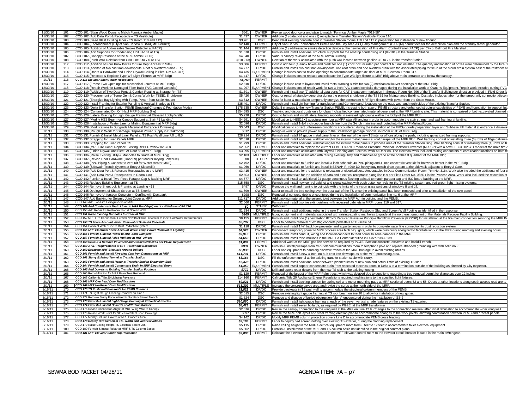| 11/30/10             | 101        | CCO 101 (Stain Wood Doors to Match Formica Amber Maple)                                                                              | \$661               | OWNER               | Revise wood door color and stain to match "Formica, Amber Maple 7012-58                                                                                                                                                                                                                                                                                 |
|----------------------|------------|--------------------------------------------------------------------------------------------------------------------------------------|---------------------|---------------------|---------------------------------------------------------------------------------------------------------------------------------------------------------------------------------------------------------------------------------------------------------------------------------------------------------------------------------------------------------|
| 11/30/10             | 102        | CCO 102 (Add Data Port & Receptacle - TS Vestibule)                                                                                  | \$1,437             | OWNER               | Add one (1) data port and one (1) receptacle in Transfer Station Vestibule Room 116.                                                                                                                                                                                                                                                                    |
| 11/30/10             | 103        | CCO 103 (Bead Blast Existing Floor - TS Room 110 and 112)                                                                            | \$3,761             | <b>DSC</b>          | Bead blast existing concrete floor in Transfer Station rooms 110 and 112 in preparation for installation of new flooring.                                                                                                                                                                                                                               |
| 12/30/10             | 104        | CCO 104 (Encroachment (City of San Carlos) & BAAQMD Permits)                                                                         | \$2,140             | PERMIT              | City of San Carlos Encroachment Permit and the Bay Area Air Quality Management (BAAQM) permit fees for the demolition plan and the standby diesel generator                                                                                                                                                                                             |
| 12/30/10             | 105        | CCO 105 (Addition of Addressable Smoke Detector at FACP)                                                                             | \$1,144             | PERMIT              | Add one (1) addressable smoke detection device at the new location of Fire Alarm Control Panel (FACP) per City of Belmont Fire Marshall                                                                                                                                                                                                                 |
| 12/30/10             | 106        | CCO 106 (Add Supports for Condensing Unit IH-101 at TS)                                                                              | \$1,578             | DR/DC               | Furnish and install additional structural supports for the roof top condensing unit (IH-101) at the Transfer Station                                                                                                                                                                                                                                    |
| 12/30/10             | 107        | CCO 107 (Canopy Revisions at the MRF Admin BLDG)                                                                                     | \$4,040             | DR/DC               | Various canopy revisions at the MRF Admin Building                                                                                                                                                                                                                                                                                                      |
| 12/30/10             | 108        | CCO 108 (Push Wall Deletion from Grid Line 3 to 7.0 at TS                                                                            | (\$18,273           | OWNER               | Deletion of the work associated with the push wall located between gridline 3.0 to 7.0 in the transfer Station.                                                                                                                                                                                                                                         |
| 12/30/10             | 112        | CCO 112 (Addition of Four Knox Boxes for Fire Dept Access to Site)                                                                   | \$3,006             | PERMIT              | Cost to add four (4) knox boxes and credit for one (1) knox box included per contract but not installed. The quantity and location of boxes were determined by the Fire I                                                                                                                                                                               |
| 12/30/10             | 113        | CCO 113 (Additon of two cast iron downspouts, Roof & overflow drains - TS)                                                           | \$4,777             | DR/DC               | Furnish and install two cast iron downspouts, one roof drain and one overflow drain with the associated piping for tie-in at the storm drain system east of the restroom a                                                                                                                                                                              |
| 12/30/10             | 114        | CCO 114 (Doors & Hardware and Finish Drywall Ceiling in Elec. Rm No. 317)                                                            | \$4,435             | <b>QUIPMENT</b>     | Change includes cost to revise openings to accommodate larger 40" door at MRF Electrical Room 317                                                                                                                                                                                                                                                       |
| 12/30/10             | 115        | CCO 115 (Relocate & Replace Type W3 Light Fixtures at MRF Bldg)                                                                      | \$1.417             | DR/DC               | Change includes cost to replace and relocate the Type W3 light fixture at MRF Bldg above main entrance and below the canopy.                                                                                                                                                                                                                            |
| 1/1/11               | 116        | CCO 116 Elevator Shaft Power Receptacle                                                                                              | \$4,769             | PERMIT              |                                                                                                                                                                                                                                                                                                                                                         |
| 12/30/10             | 117<br>118 | CCO 117 (Frame Two Openings for Mechanical Louvers at MRF Bldg)<br>CCO 118 (Repair Work for Damaged Fiber Baler PVC Coated Conduits) | \$2,510             | DR/DC               | Change include cost to layout and install metal framing & trim for two (2) mechanical louver openings at the MRF Bldg.                                                                                                                                                                                                                                  |
| 12/30/10<br>12/30/10 | 119        | CCO 119 (Addition of Two Data Ports & Conduit Routing at Storage Rm TS)                                                              | \$1,297<br>\$1,391  | OWNER               | EQUIPMENT Change includes cost of repair work for two 3-inch PVC coated conduits damaged during the installation work of Owner's Equipment. Repair work includes cutting PVC<br>Furnish and install two (2) additional data ports for CAT-6 data communication in Storage Room No. 206 of the Transfer Building per direction provided in Field Order N |
| 12/30/10             | 120        | CCO 120 (Procurement of Temp Gen & Conns Work for TSSB1 Shutdown)                                                                    | \$5,420             | OWNER               | Cost for rental of standby generator during the planned shutdown of the TSSB1 for Maintenance Building. Cost also includes labor for the temporarily connection/disco                                                                                                                                                                                   |
| 12/30/10             | 121        | CCO 121 (Energize Bay Lighting with Temp. Power from Scale House)                                                                    | \$3,812             | OWNER               | Cost for labor & material to temporarily energize the permanent MRF light fixtures with power from the Scale House.                                                                                                                                                                                                                                     |
| 12/30/10             | 122        | CCO 122 Install Framing for Exterior Paneling & Vertical Shades at TS                                                                | \$35,491            | DR/DC               | Furnish and install girt framing for transluscent and Century panel locations on the east, west and north sides of the existing Transfer Station                                                                                                                                                                                                        |
| 12/30/10             | 123        | CCO 123 (Delta 8 Transfer Station PEMB Structural Changes & Foundation Mods)                                                         | \$178,33            | <b>OWNER</b>        | Delta 8 changes to the new Transfer Station PEMB, increasing both size of PEMB structure and enhanced structural capabilities of PEMB and foundation to support fut                                                                                                                                                                                     |
| 12/30/10             | 124        | CCO 124 (Contaminated Dirt Off Haul MRF Building Site)                                                                               | \$154,59            | <b>DSC</b>          | Frucking and disposal costs only for class II classified contaminated material generated at the MRF building site. This material is comprised of both excavated planned                                                                                                                                                                                 |
| 12/30/10             | 126        | CCO 126 (Lateral Bracing for Light Gauge Framing at Elevated Lobby Walls)                                                            | \$5,228             | DR/DC               | Cost to furnish and install lateral bracing supports in elevated light gauge wall in the lobby of the MRF Bldg.                                                                                                                                                                                                                                         |
| 12/30/10             | 127        | CCO 127 (Modify HSS Beam for Canopy Support at Stair #5 Landing)                                                                     | \$4,991             | DR/DC               | Modification to HSS12X6 structural member at MRF stair #5 landing in order to accommodate the stair stringer and wall framing at landing.                                                                                                                                                                                                               |
| 12/30/10             | 128        | CCO 128 (Installation of Water Line for Misting Equipment at MRF Bldg)                                                               | \$2,096             | DR/DC               | Furnish and install 1-1/4 inch copper branch line from the 3-inch main line and routed into the MRF Misting Room                                                                                                                                                                                                                                        |
| 12/30/10             | 129        | CCO 129 (Modifications to Subgrade Material at Entrance 2 Driveway                                                                   | \$3,04              | DSC                 | Modifications to correct unforeseen conditions encountered during the installation of the Fill/Subgrade preparation layer and Subbase Fill material at entrance 2 drivewa                                                                                                                                                                               |
| 1/1/11               | 130        | CCO 130 (Rough in Work for Garbage Disposal Power Supply in Breakroom)                                                               | \$312               | DR/DC               | Rough-in work to provide power supply to the Breakroom garbage disposal in Room 407E of MRF Bldg.                                                                                                                                                                                                                                                       |
| 1/1/11               | 131        | CCO 131 Furnish & Install Metal Liner Panel at TS Push Wall Line 7.0 to 8.5                                                          | \$28,214            | DR/DC               | Furnish and install 24 gauge metal panel liner on the wall of the new TS interior offices along the push, including galvanized framing supports.                                                                                                                                                                                                        |
| 1/1/11               | 132        | CCO 132 Strapping for Liner Panels MRF                                                                                               | \$2,818             | DR/DC               | Furnish and install additional wall backing for the interior metal panels at roof parapet of the MRF Bldg. Wall backing consist of installing three (3) rows of 18ga galvaniz                                                                                                                                                                           |
| 1/1/11               | 133        | CCO 133 Strapping for Liner Panels TS                                                                                                | \$1,799             | DR/DC               | Furnish and install additional wall backing for the interior metal panels in process area of the Transfer Station Bldg. Wall backing consist of installing three (4) rows of 1                                                                                                                                                                          |
| 1/1/11               | 134        | CCO 134 (MRF Fire Conn: Replace Existing RPPBP w/new 826YD)                                                                          | \$2,352             | PERMIT              | Labor and materials to replace the current FEBCO 825YD Reduced Pressure Principal Backflow Preventer (RPPBP) with a new FEBCO 826YD model at the main fire                                                                                                                                                                                              |
| 1/1/11               | 135        | CCO 135 (Finish Drywall and Elect. At Door 88 of MRF Bldg)                                                                           | \$3.09              | <b>EQUIPMENT</b>    | Labor and materials associated with Drywall Finishing and Electrical work at Door 88. The electrical work included routing conductors at card reader locations on both t                                                                                                                                                                                |
| 1/1/11               | 136        | CCO 136 (Raise Existing Utiity & Manholes to Grade at MRF Bldg)                                                                      | \$2,183             | <b>MULTIPLE</b>     | Labor and materials associated with raising existing utility and manholes to grade at the northeast quadrant of the MRF Bldg                                                                                                                                                                                                                            |
| 1/1/1                | 137        | CCO 137 (Revise Door Hardware (Door 89) per Master Keying Schedule)                                                                  | \$0                 | <b>OTHER</b>        | Withdrawn                                                                                                                                                                                                                                                                                                                                               |
| 1/1/11               | 138        | CCO 138 (PVC Piping & Concentric Vent Kit for Water Heater MRF)                                                                      | \$2,492             | DR/DC               | abor and materials to furnish and install 3-inch schedule 40 PVC piping and 4-inch concentric vent kit for hot water heater in the MRF Bldg                                                                                                                                                                                                             |
| 1/1/11               | 139        | CCO 139 (Sidewalk Trench System at Entry 2 Sidewalk)                                                                                 | \$1,960             | DR/DC               | Labor and materials to furnish and install NEENAH R-4999-DX heavy duty trench drain system at the sidewalk adjacent to Entry 2 Gate.                                                                                                                                                                                                                    |
| 1/1/11               | 140        | CCO 140 (Add Data Port & Relocate Receptacles at the MRF)                                                                            | \$3,415             | OWNER               | Labor and materials for the addition & relocation of electrical boxes/receptacles in Data Communication Room (Rm No. 316). Work also included the additional of four                                                                                                                                                                                    |
| 1/1/11<br>1/1/11     | 141        | CCO 141 (Add Data Port & Receptacles in Room 410)                                                                                    | \$2,503             | OWNER               | Labor and materials for the addition of data and electrical receptacle along line B.9 per Field Order No. 032R1 in the Process Area. Work also included the relocation of                                                                                                                                                                               |
| 1/1/11               | 142<br>143 | CCO 142 Furnish & Install Two-Piece Parapet Cap & Backing MRF<br>CCO 143 Replace Existing Equipment at TS                            | \$4,577<br>\$15,858 | DR/DC<br><b>DSC</b> | Furnish and install an additional 24 gauge continuous flashing painted to match parapet cap and ISO board backing at the MRF.<br>Furnish and install new control cabinet and signal cabinet with push button controls for the TS misting system and red-green light misting systems.                                                                    |
| 1/1/11               | 144        | CCO 144 Remove Sheetrock & Framing at Landing 413                                                                                    | \$497               | DR/DC               | Remove the wall and framing to coincide with the limits of the vision glass portions of windows II and JJ.                                                                                                                                                                                                                                              |
|                      |            |                                                                                                                                      |                     |                     |                                                                                                                                                                                                                                                                                                                                                         |
|                      |            |                                                                                                                                      |                     |                     |                                                                                                                                                                                                                                                                                                                                                         |
| 1/1/11               | 145        | CCO 145 Deployment of Shade Screen at TS Exterior                                                                                    | \$1,899             | OWNER               | Labor to install the bird netting over the east wall of the TS once the existing panel had been removed and prior to installation of the new panel.                                                                                                                                                                                                     |
| 1/1/11<br>1/1/11     | 146<br>147 | CCO 146 Remove Unforseen Concrete in Conflict with Ductbank                                                                          | \$298<br>\$11,717   | <b>DSC</b><br>DR/DC | Removal of concrete debris encountered during the installation of communication line no. 6 at the MRF                                                                                                                                                                                                                                                   |
| 2/1/11               | 148        | CCO 147 Add Backing for Seismic Joint Cover at MRF<br>CCO 148 Add Two Fire Extinguishers at MRF                                      | \$2,560             | PERMIT              | Add backing material at the seismic joint between the MRF Admin building and the PEMB.<br>Furnish and install two fire extinguishers with recessed cabinets in MRF rooms 316 and 317.                                                                                                                                                                   |
| 2/1/11               | 149        | CCO 149 Add Condensate Drain Lines to MRF Roof Equipment - Withdrawn CPE 220                                                         | 50                  | <b>OTHER</b>        | <b>Nithdrawn</b>                                                                                                                                                                                                                                                                                                                                        |
| 2/1/11               | 150        | CCO 150 Add Rebar TS Restroom Slab & Screen Wall                                                                                     | \$1,934             | DR/DC               | Furnish and install additional rebar in the new Transfer Station Restroom Slab and Screen Wall Footing as identified in the response                                                                                                                                                                                                                    |
| 2/1/11               | 151        | CCO 151 Raise Existing Manholes to Grade at MRF                                                                                      | \$969               | <b>MULTIPLE</b>     | abor, equipment and materials associated with raising existing manholes to grade at the northeast quadrant of the Materials Recover Facility Building                                                                                                                                                                                                   |
| 2/1/11               | 152        | CCO 152 MRF Fire Connection: Furnish New Backflow Preventor to meet Cal Water Requirements                                           | \$8,155             | PERMIT              | urnish and install one (1) new Febco 826YD Reduced Pressure Principle Backflow Preventer (RPPBP) for installation at the fire main connection servicing the MRF B                                                                                                                                                                                       |
| 2/1/11               | 153        | CCO 153 TS Force Account Work: Removal of Scale Pit Pedestals                                                                        | \$2,787             | <b>DSC</b>          | abor to perform removal of existng concrete pedestals at TS scale pit                                                                                                                                                                                                                                                                                   |
| 2/1/11               | 154        | CCO 154 Connect Water Line to Dust Reduction System                                                                                  | \$1,118             | DR/DC               | Furnish and install 1 %" backflow preventer and appurtenances in order to complete water line connection to dust reduction system                                                                                                                                                                                                                       |
| 2/1/11               | 155        | CCO 155 MRF Electrical Force Account Work: Temp Power Removal to Lighting                                                            | \$4,528             | OWNER               | Disconnect temporary power to MRF process area high bay lights, which were previously energized to facilitate work in the MRF during morning and evening hours.                                                                                                                                                                                         |
| 2/1/11               | 156        | CCO 156 Furnish & Install Power to MRF Zone Dampers                                                                                  | \$9,913             | DR/DC               | Furnish and install conduit, wiring and local disconnects to feed power to zone dampers in the MRF.                                                                                                                                                                                                                                                     |
| 2/1/11               | 157        | CCO 157 Furnish & Install False Mullions at MRF Offices                                                                              | \$4,662             | DR/DC               | Furnish and install false mullions in the MRF Ed Center identified in DCN's 238 & 239                                                                                                                                                                                                                                                                   |
| 2/1/11               | 158        | CCO 158 Sawcut & Remove Pavement and Excavate/Backfill per PG&E Requirement                                                          | \$1,009             | PERMIT              | Additional work at the MRF gas line service as required by PG&E. Saw cut concrete, excavate and backfill trench.                                                                                                                                                                                                                                        |
| 2/1/11               | 159        | CCO 159 AT&T Requirements at MRF Telephone Backboard                                                                                 | \$931               | <b>OWNER</b>        | Furnish & install pull tape from MRF telecommunications room to telephone pole and replace stranded grounding wire with solid no. 6.                                                                                                                                                                                                                    |
| 2/1/11               | 160        | CCO 160 Excavate MRF Bioswale Around Utilities                                                                                       | \$2,938             | <b>DSC</b>          | abor and equipment to hand dig bioswale trench at the MRF frontage to avoid existing utilities.                                                                                                                                                                                                                                                         |
| 2/1/11<br>2/1/11     | 161<br>162 | CCO 161 Furnish and Install Five New Cast Iron Downspouts at MRF<br>CCO 162 Slurry Existing Tunnel at Transfer Station               | \$11,731            | DR/DC               | Furnish and install 5 new 4 inch no-hub cast iron downspouts at the MRF processing area.                                                                                                                                                                                                                                                                |
| 2/1/11               | 163        | CCO 163 Furnish and Install Rebar at Transfer Station Expansion Slab                                                                 | \$3,164             | <b>DSC</b><br>DR/DC | Fill the unforseen tunnel at the existing transfer station scale with slurry.<br>Furnish and install additional rebar between planned limits of new slab and actual limits of existing TS slab.                                                                                                                                                         |
| 2/1/11               | 164        | CCO 164 Furnish and Install Condensate Drain in MRF Electrical Room                                                                  | \$7,478<br>\$1,350  | <b>QUIPMEN</b>      | Furnish and install copper condensate drain from relocated electrical room in Delta 4 to a termination outside of the building as directed by City Inspector.                                                                                                                                                                                           |
| 2/1/11               | 165        | CCO 165 Add Dowels to Existing Transfer Station Footings                                                                             | \$772               | DR/DC               | Drill and epoxy rebar dowels from the new TS slab to the existing footing                                                                                                                                                                                                                                                                               |
| 2/1/11               | 166        | CCO 166 Remobilization for MRF Palm Tree Removal                                                                                     | \$1,129             | PERMIT              | Removal of the largest of the MRF Palm trees, which was delayed due to questions regarding a tree removal permit for diameters over 12 inches.                                                                                                                                                                                                          |
| 2/1/11               | 167        | CCO 167 California Title 20 Lighting Revisions                                                                                       | \$14,160            | PERMIT              | alifornia Title 20 Appliance Energy Regulations required modifications to the specified light fixtures                                                                                                                                                                                                                                                  |
| 2/1/11               | 168        | CCO 168 MRF Overhead Door Modifications                                                                                              | \$9,821             | DR/DC               | Furnish and install backing support for spring coil and motor mounting pads at MRF sectional doors 52 and 58. Doors at other locations along south access road are to                                                                                                                                                                                   |
| 2/1/11               | 169        | CCO 169 MRF Northeast Curb Modifications                                                                                             | \$13,202            | <b>MULTIPLE</b>     | Increase the concrete paved area and revise the curbs at the north side of the MRF                                                                                                                                                                                                                                                                      |
| 3/16/1               | 170        | CCO 170 TS Push Wall Blockouts for PEMB Columns                                                                                      | \$1,822             | DR/DC               | Provide blockouts in TS pushwall to accommodate the structural column members of the PEMB.                                                                                                                                                                                                                                                              |
| 3/16/11              | 171        | CCO 171 TS Light Gauge Framing Removal on Line 10                                                                                    | \$2.01              | <b>DSC</b>          | Remove existing light gauge framing at TS roof beam on line 10 to allow for installation of new gutter                                                                                                                                                                                                                                                  |
| 3/16/11              | 172        | CCO 172 Remove Slurry Encountered in Sanitary Sewer Trench                                                                           | \$1,324             | <b>DSC</b>          | Remove and dispose of buried obstruction (slurry) encountered during the installation of SS-2                                                                                                                                                                                                                                                           |
| 3/16/11              | 173        | CCO 173 Furnish & Install Light Gauge Framing at TS Vertical Shades                                                                  | \$10,880            | DR/DC               | Furnish and install light gauge framing at each of the seven vertical shade features on the existing TS exterior.                                                                                                                                                                                                                                       |
| 3/16/11              | 174        | CCO 174 Furnish & Install Bollards at MRF Transformer                                                                                | \$8,423             | PERMIT              | Furnish and install seven bollards, as required by PG&E, at the MRF transformer.                                                                                                                                                                                                                                                                        |
| 3/16/11              | 175        | CCO 175 Revise Connection Angle at MRF Wing Wall to Canopy                                                                           | \$2,576             | DR/DC               | Revise the canopy connection to the wing wall at the MRF on Line 12.9. Changes to the connection material after initial fabrication to accommodate wider wing wall.                                                                                                                                                                                     |
| 3/16/11              | 176        | CCO 176 Revise Work Point for Structural Steel Shop Drawings                                                                         | \$697               | DR/DC               | Revise the MRF bolt layout and steel framing erection plan to accommodate changes to the work points, allowing coordination between PEMB and precast panels.                                                                                                                                                                                            |
| 3/16/11<br>3/16/11   | 177<br>178 | CCO 177 Modify Column Covers at MRF Process Area<br>CCO 178 Deploy Bird Screen at TS - North and West Elevations                     | \$4,142             | DR/DC<br>PERMIT     | Modify MRF PEMB column protection covers Line D to accommodate PEMB cross bracing.                                                                                                                                                                                                                                                                      |
| 3/16/11              | 179        | CCO 179 Raise Ceiling Height TS Electrical Room 205                                                                                  | \$3,193<br>\$5.11   | DR/DC               | Labor to deploy bird screen netting over existing TS exterior, during the cladding replacement.                                                                                                                                                                                                                                                         |
| 3/16/11              | 180        | CCO 180 Furnish & Install Rebar at MRF & TS Column Bases                                                                             | \$5,602             | DR/DC               | Raise ceiling height in the MRF electrical equipment room from 8 feet to 12 feet to accommodate taller electrical equipment.<br>Furnish & install rebar at the MRF and TS column basis not identified in the original contract plans.                                                                                                                   |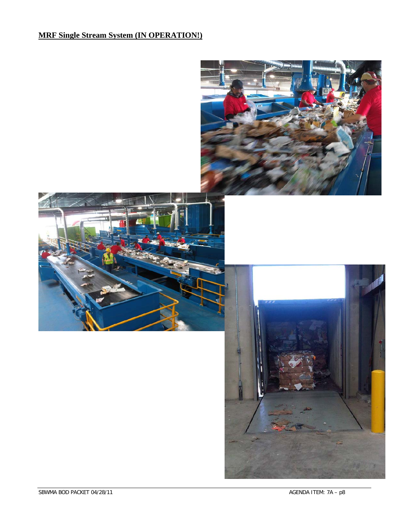## **MRF Single Stream System (IN OPERATION!)**